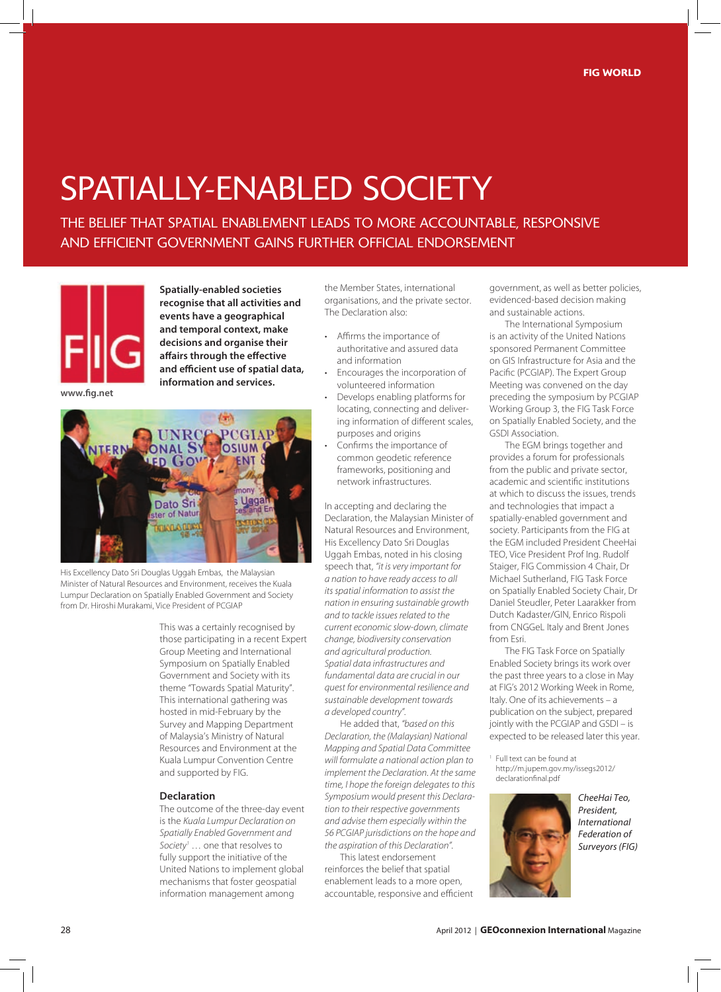## SPATIALLY-ENABLED SOCIETY

ThE BELIEf ThAT SPATIAL ENABLEmENT LEADS TO mOrE ACCOuNTABLE, rESPONSIvE AND EffICIENT gOvErNmENT gAINS furThEr OffICIAL ENDOrSEmENT



**Spatially-enabled societies recognise that all activities and events have a geographical and temporal context, make decisions and organise their affairs through the effective and efficient use of spatial data, information and services.**

**www.fig.net**



His Excellency Dato Sri Douglas Uggah Embas, the Malaysian Minister of Natural Resources and Environment, receives the Kuala Lumpur Declaration on Spatially Enabled Government and Society from Dr. Hiroshi Murakami, Vice President of PCGIAP

> This was a certainly recognised by those participating in a recent Expert Group Meeting and International Symposium on Spatially Enabled Government and Society with its theme "Towards Spatial Maturity". This international gathering was hosted in mid-February by the Survey and Mapping Department of Malaysia's Ministry of Natural Resources and Environment at the Kuala Lumpur Convention Centre and supported by FIG.

#### **Declaration**

The outcome of the three-day event is the *Kuala Lumpur Declaration on Spatially Enabled Government and*  Society<sup>1</sup> ... one that resolves to fully support the initiative of the United Nations to implement global mechanisms that foster geospatial information management among

the Member States, international organisations, and the private sector. The Declaration also:

- • Affirms the importance of authoritative and assured data and information
- Encourages the incorporation of volunteered information
- Develops enabling platforms for locating, connecting and delivering information of different scales, purposes and origins
- Confirms the importance of common geodetic reference frameworks, positioning and network infrastructures.

In accepting and declaring the Declaration, the Malaysian Minister of Natural Resources and Environment, His Excellency Dato Sri Douglas Uggah Embas, noted in his closing speech that, *"it is very important for a nation to have ready access to all its spatial information to assist the nation in ensuring sustainable growth and to tackle issues related to the current economic slow-down, climate change, biodiversity conservation and agricultural production. Spatial data infrastructures and fundamental data are crucial in our quest for environmental resilience and sustainable development towards a developed country".*

He added that, *"based on this Declaration, the (Malaysian) National Mapping and Spatial Data Committee will formulate a national action plan to implement the Declaration. At the same time, I hope the foreign delegates to this Symposium would present this Declaration to their respective governments and advise them especially within the 56 PCGIAP jurisdictions on the hope and the aspiration of this Declaration".*

This latest endorsement reinforces the belief that spatial enablement leads to a more open, accountable, responsive and efficient government, as well as better policies, evidenced-based decision making and sustainable actions.

The International Symposium is an activity of the United Nations sponsored Permanent Committee on GIS Infrastructure for Asia and the Pacific (PCGIAP). The Expert Group Meeting was convened on the day preceding the symposium by PCGIAP Working Group 3, the FIG Task Force on Spatially Enabled Society, and the GSDI Association.

The EGM brings together and provides a forum for professionals from the public and private sector, academic and scientific institutions at which to discuss the issues, trends and technologies that impact a spatially-enabled government and society. Participants from the FIG at the EGM included President CheeHai TEO, Vice President Prof Ing. Rudolf Staiger, FIG Commission 4 Chair, Dr Michael Sutherland, FIG Task Force on Spatially Enabled Society Chair, Dr Daniel Steudler, Peter Laarakker from Dutch Kadaster/GIN, Enrico Rispoli from CNGGeL Italy and Brent Jones from Esri.

The FIG Task Force on Spatially Enabled Society brings its work over the past three years to a close in May at FIG's 2012 Working Week in Rome, Italy. One of its achievements – a publication on the subject, prepared jointly with the PCGIAP and GSDI - is expected to be released later this year.

1 Full text can be found at http://m.jupem.gov.my/issegs2012/ declarationfinal.pdf



*CheeHai Teo, President, International Federation of Surveyors (FIG)*